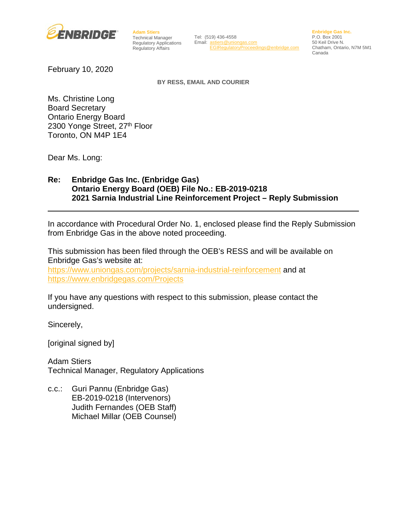

**Adam Stiers** Technical Manager Regulatory Affairs

Regulatory Applications Email: [astiers@uniongas.com](mailto:astiers@uniongas.com) Tel: (519) 436-4558 [EGIRegulatoryProceedings@enbridge.com](mailto:EGIRegulatoryProceedings@enbridge.com)

**Enbridge Gas Inc.** P.O. Box 2001 50 Keil Drive N. Chatham, Ontario, N7M 5M1 Canada

February 10, 2020

**BY RESS, EMAIL AND COURIER**

Ms. Christine Long Board Secretary Ontario Energy Board 2300 Yonge Street, 27th Floor Toronto, ON M4P 1E4

Dear Ms. Long:

### **Re: Enbridge Gas Inc. (Enbridge Gas) Ontario Energy Board (OEB) File No.: EB-2019-0218 2021 Sarnia Industrial Line Reinforcement Project – Reply Submission**

In accordance with Procedural Order No. 1, enclosed please find the Reply Submission from Enbridge Gas in the above noted proceeding.

This submission has been filed through the OEB's RESS and will be available on Enbridge Gas's website at:

<https://www.uniongas.com/projects/sarnia-industrial-reinforcement> and at [https://www.enbridgegas.com/Projects](https://www.enbridgegas.com/About-Us?utm_source=donriver30&utm_medium=redirect&utm_campaign=FriendlyURLs#Projects)

If you have any questions with respect to this submission, please contact the undersigned.

Sincerely,

[original signed by]

Adam Stiers Technical Manager, Regulatory Applications

c.c.: Guri Pannu (Enbridge Gas) EB-2019-0218 (Intervenors) Judith Fernandes (OEB Staff) Michael Millar (OEB Counsel)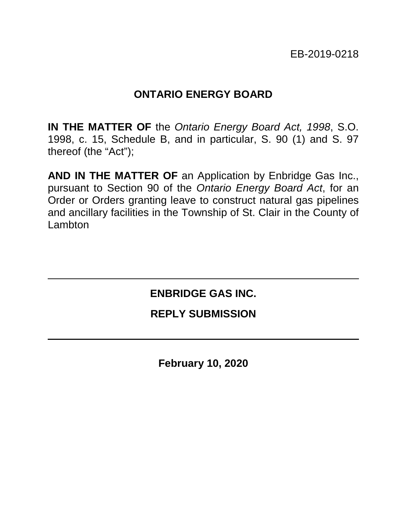EB-2019-0218

# **ONTARIO ENERGY BOARD**

**IN THE MATTER OF** the *Ontario Energy Board Act, 1998*, S.O. 1998, c. 15, Schedule B, and in particular, S. 90 (1) and S. 97 thereof (the "Act");

**AND IN THE MATTER OF** an Application by Enbridge Gas Inc., pursuant to Section 90 of the *Ontario Energy Board Act*, for an Order or Orders granting leave to construct natural gas pipelines and ancillary facilities in the Township of St. Clair in the County of Lambton

# **ENBRIDGE GAS INC.**

## **REPLY SUBMISSION**

**February 10, 2020**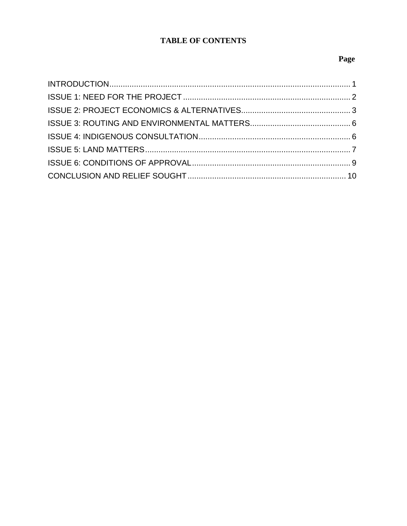## **TABLE OF CONTENTS**

## Page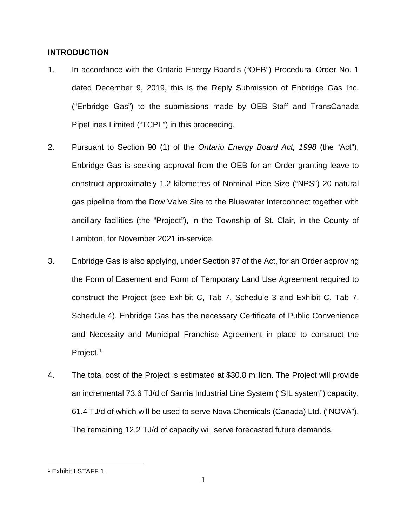#### <span id="page-3-0"></span>**INTRODUCTION**

- 1. In accordance with the Ontario Energy Board's ("OEB") Procedural Order No. 1 dated December 9, 2019, this is the Reply Submission of Enbridge Gas Inc. ("Enbridge Gas") to the submissions made by OEB Staff and TransCanada PipeLines Limited ("TCPL") in this proceeding.
- 2. Pursuant to Section 90 (1) of the *Ontario Energy Board Act, 1998* (the "Act"), Enbridge Gas is seeking approval from the OEB for an Order granting leave to construct approximately 1.2 kilometres of Nominal Pipe Size ("NPS") 20 natural gas pipeline from the Dow Valve Site to the Bluewater Interconnect together with ancillary facilities (the "Project"), in the Township of St. Clair, in the County of Lambton, for November 2021 in-service.
- 3. Enbridge Gas is also applying, under Section 97 of the Act, for an Order approving the Form of Easement and Form of Temporary Land Use Agreement required to construct the Project (see Exhibit C, Tab 7, Schedule 3 and Exhibit C, Tab 7, Schedule 4). Enbridge Gas has the necessary Certificate of Public Convenience and Necessity and Municipal Franchise Agreement in place to construct the Project.<sup>[1](#page-3-1)</sup>
- 4. The total cost of the Project is estimated at \$30.8 million. The Project will provide an incremental 73.6 TJ/d of Sarnia Industrial Line System ("SIL system") capacity, 61.4 TJ/d of which will be used to serve Nova Chemicals (Canada) Ltd. ("NOVA"). The remaining 12.2 TJ/d of capacity will serve forecasted future demands.

 $\overline{a}$ 

<span id="page-3-1"></span><sup>1</sup> Exhibit I.STAFF.1.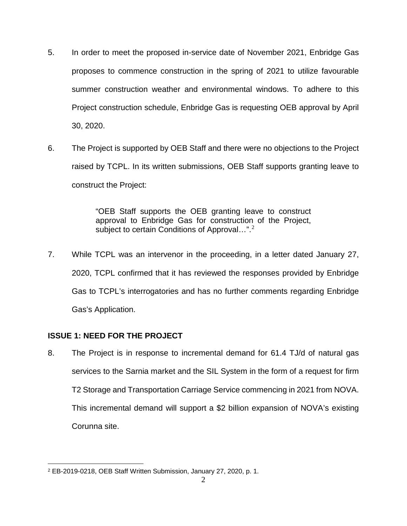- 5. In order to meet the proposed in-service date of November 2021, Enbridge Gas proposes to commence construction in the spring of 2021 to utilize favourable summer construction weather and environmental windows. To adhere to this Project construction schedule, Enbridge Gas is requesting OEB approval by April 30, 2020.
- 6. The Project is supported by OEB Staff and there were no objections to the Project raised by TCPL. In its written submissions, OEB Staff supports granting leave to construct the Project:

"OEB Staff supports the OEB granting leave to construct approval to Enbridge Gas for construction of the Project, subject to certain Conditions of Approval...".<sup>[2](#page-4-1)</sup>

7. While TCPL was an intervenor in the proceeding, in a letter dated January 27, 2020, TCPL confirmed that it has reviewed the responses provided by Enbridge Gas to TCPL's interrogatories and has no further comments regarding Enbridge Gas's Application.

## <span id="page-4-0"></span>**ISSUE 1: NEED FOR THE PROJECT**

8. The Project is in response to incremental demand for 61.4 TJ/d of natural gas services to the Sarnia market and the SIL System in the form of a request for firm T2 Storage and Transportation Carriage Service commencing in 2021 from NOVA. This incremental demand will support a \$2 billion expansion of NOVA's existing Corunna site.

<span id="page-4-1"></span> $\overline{a}$ <sup>2</sup> EB-2019-0218, OEB Staff Written Submission, January 27, 2020, p. 1.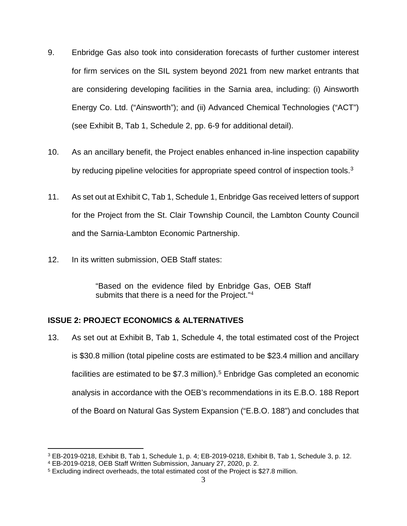- 9. Enbridge Gas also took into consideration forecasts of further customer interest for firm services on the SIL system beyond 2021 from new market entrants that are considering developing facilities in the Sarnia area, including: (i) Ainsworth Energy Co. Ltd. ("Ainsworth"); and (ii) Advanced Chemical Technologies ("ACT") (see Exhibit B, Tab 1, Schedule 2, pp. 6-9 for additional detail).
- 10. As an ancillary benefit, the Project enables enhanced in-line inspection capability by reducing pipeline velocities for appropriate speed control of inspection tools.<sup>3</sup>
- 11. As set out at Exhibit C, Tab 1, Schedule 1, Enbridge Gas received letters of support for the Project from the St. Clair Township Council, the Lambton County Council and the Sarnia-Lambton Economic Partnership.
- 12. In its written submission, OEB Staff states:

"Based on the evidence filed by Enbridge Gas, OEB Staff submits that there is a need for the Project."<sup>[4](#page-5-2)</sup>

## <span id="page-5-0"></span>**ISSUE 2: PROJECT ECONOMICS & ALTERNATIVES**

13. As set out at Exhibit B, Tab 1, Schedule 4, the total estimated cost of the Project is \$30.8 million (total pipeline costs are estimated to be \$23.4 million and ancillary facilities are estimated to be \$7.3 million). [5](#page-5-3) Enbridge Gas completed an economic analysis in accordance with the OEB's recommendations in its E.B.O. 188 Report of the Board on Natural Gas System Expansion ("E.B.O. 188") and concludes that

<span id="page-5-1"></span> $\overline{a}$ <sup>3</sup> EB-2019-0218, Exhibit B, Tab 1, Schedule 1, p. 4; EB-2019-0218, Exhibit B, Tab 1, Schedule 3, p. 12.

<span id="page-5-2"></span><sup>4</sup> EB-2019-0218, OEB Staff Written Submission, January 27, 2020, p. 2.

<span id="page-5-3"></span><sup>5</sup> Excluding indirect overheads, the total estimated cost of the Project is \$27.8 million.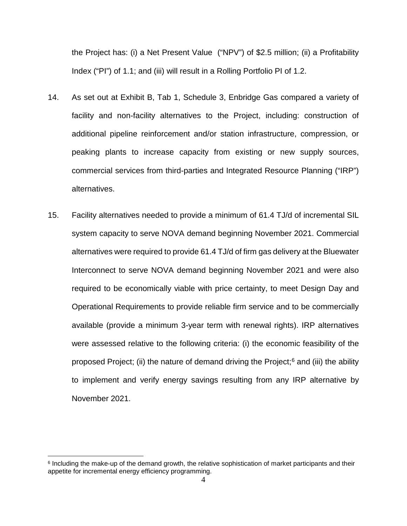the Project has: (i) a Net Present Value ("NPV") of \$2.5 million; (ii) a Profitability Index ("PI") of 1.1; and (iii) will result in a Rolling Portfolio PI of 1.2.

- 14. As set out at Exhibit B, Tab 1, Schedule 3, Enbridge Gas compared a variety of facility and non-facility alternatives to the Project, including: construction of additional pipeline reinforcement and/or station infrastructure, compression, or peaking plants to increase capacity from existing or new supply sources, commercial services from third-parties and Integrated Resource Planning ("IRP") alternatives.
- 15. Facility alternatives needed to provide a minimum of 61.4 TJ/d of incremental SIL system capacity to serve NOVA demand beginning November 2021. Commercial alternatives were required to provide 61.4 TJ/d of firm gas delivery at the Bluewater Interconnect to serve NOVA demand beginning November 2021 and were also required to be economically viable with price certainty, to meet Design Day and Operational Requirements to provide reliable firm service and to be commercially available (provide a minimum 3-year term with renewal rights). IRP alternatives were assessed relative to the following criteria: (i) the economic feasibility of the proposed Project; (ii) the nature of demand driving the Project; $6$  and (iii) the ability to implement and verify energy savings resulting from any IRP alternative by November 2021.

 $\overline{a}$ 

<span id="page-6-0"></span><sup>&</sup>lt;sup>6</sup> Including the make-up of the demand growth, the relative sophistication of market participants and their appetite for incremental energy efficiency programming.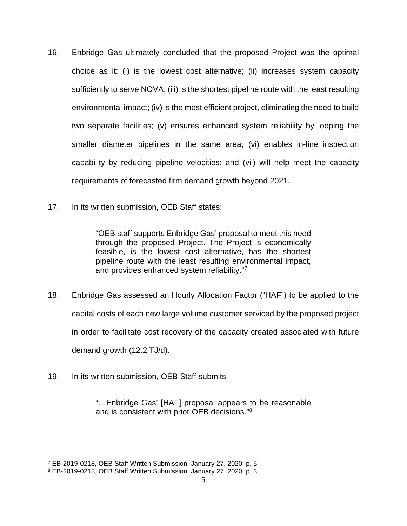- 16. Enbridge Gas ultimately concluded that the proposed Project was the optimal choice as it: (i) is the lowest cost alternative; (ii) increases system capacity sufficiently to serve NOVA; (iii) is the shortest pipeline route with the least resulting environmental impact; (iv) is the most efficient project, eliminating the need to build two separate facilities; (v) ensures enhanced system reliability by looping the smaller diameter pipelines in the same area; (vi) enables in-line inspection capability by reducing pipeline velocities; and (vii) will help meet the capacity requirements of forecasted firm demand growth beyond 2021.
- 17. In its written submission, OEB Staff states:

"OEB staff supports Enbridge Gas' proposal to meet this need through the proposed Project. The Project is economically feasible, is the lowest cost alternative, has the shortest pipeline route with the least resulting environmental impact, and provides enhanced system reliability."<sup>[7](#page-7-0)</sup>

- 18. Enbridge Gas assessed an Hourly Allocation Factor ("HAF") to be applied to the capital costs of each new large volume customer serviced by the proposed project in order to facilitate cost recovery of the capacity created associated with future demand growth (12.2 TJ/d).
- 19. In its written submission, OEB Staff submits

 $\overline{a}$ 

"…Enbridge Gas' [HAF] proposal appears to be reasonable and is consistent with prior OEB decisions."[8](#page-7-1)

<span id="page-7-0"></span><sup>7</sup> EB-2019-0218, OEB Staff Written Submission, January 27, 2020, p. 5.

<span id="page-7-1"></span><sup>8</sup> EB-2019-0218, OEB Staff Written Submission, January 27, 2020, p. 3.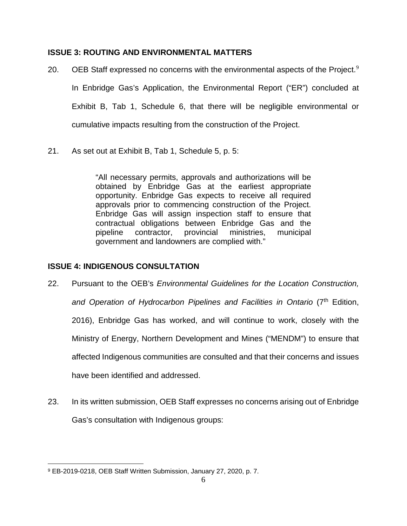### <span id="page-8-0"></span>**ISSUE 3: ROUTING AND ENVIRONMENTAL MATTERS**

- 20. OEB Staff expressed no concerns with the environmental aspects of the Project.<sup>[9](#page-8-2)</sup> In Enbridge Gas's Application, the Environmental Report ("ER") concluded at Exhibit B, Tab 1, Schedule 6, that there will be negligible environmental or cumulative impacts resulting from the construction of the Project.
- 21. As set out at Exhibit B, Tab 1, Schedule 5, p. 5:

"All necessary permits, approvals and authorizations will be obtained by Enbridge Gas at the earliest appropriate opportunity. Enbridge Gas expects to receive all required approvals prior to commencing construction of the Project. Enbridge Gas will assign inspection staff to ensure that contractual obligations between Enbridge Gas and the pipeline contractor, provincial ministries, municipal government and landowners are complied with."

### <span id="page-8-1"></span>**ISSUE 4: INDIGENOUS CONSULTATION**

- 22. Pursuant to the OEB's *Environmental Guidelines for the Location Construction,*  and Operation of Hydrocarbon Pipelines and Facilities in Ontario (7<sup>th</sup> Edition, 2016), Enbridge Gas has worked, and will continue to work, closely with the Ministry of Energy, Northern Development and Mines ("MENDM") to ensure that affected Indigenous communities are consulted and that their concerns and issues have been identified and addressed.
- 23. In its written submission, OEB Staff expresses no concerns arising out of Enbridge Gas's consultation with Indigenous groups:

<span id="page-8-2"></span> $\overline{a}$ <sup>9</sup> EB-2019-0218, OEB Staff Written Submission, January 27, 2020, p. 7.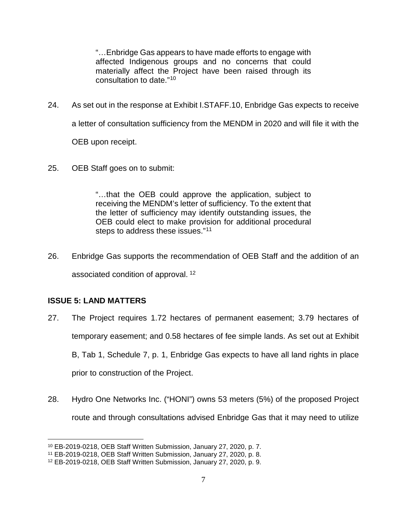"…Enbridge Gas appears to have made efforts to engage with affected Indigenous groups and no concerns that could materially affect the Project have been raised through its consultation to date."[10](#page-9-1)

- 24. As set out in the response at Exhibit I.STAFF.10, Enbridge Gas expects to receive a letter of consultation sufficiency from the MENDM in 2020 and will file it with the OEB upon receipt.
- 25. OEB Staff goes on to submit:

"…that the OEB could approve the application, subject to receiving the MENDM's letter of sufficiency. To the extent that the letter of sufficiency may identify outstanding issues, the OEB could elect to make provision for additional procedural steps to address these issues."<sup>[11](#page-9-2)</sup>

26. Enbridge Gas supports the recommendation of OEB Staff and the addition of an associated condition of approval. [12](#page-9-3)

## <span id="page-9-0"></span>**ISSUE 5: LAND MATTERS**

 $\overline{a}$ 

- 27. The Project requires 1.72 hectares of permanent easement; 3.79 hectares of temporary easement; and 0.58 hectares of fee simple lands. As set out at Exhibit B, Tab 1, Schedule 7, p. 1, Enbridge Gas expects to have all land rights in place prior to construction of the Project.
- 28. Hydro One Networks Inc. ("HONI") owns 53 meters (5%) of the proposed Project route and through consultations advised Enbridge Gas that it may need to utilize

<span id="page-9-1"></span><sup>10</sup> EB-2019-0218, OEB Staff Written Submission, January 27, 2020, p. 7.

<span id="page-9-2"></span><sup>11</sup> EB-2019-0218, OEB Staff Written Submission, January 27, 2020, p. 8.

<span id="page-9-3"></span><sup>12</sup> EB-2019-0218, OEB Staff Written Submission, January 27, 2020, p. 9.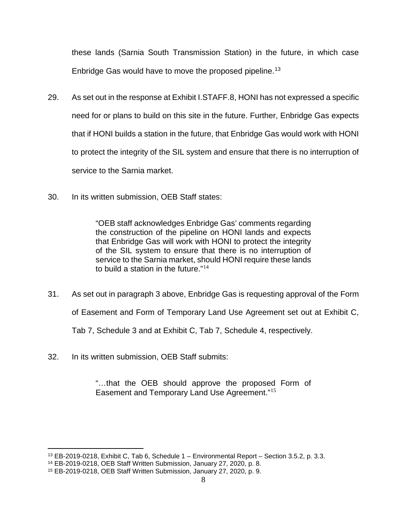these lands (Sarnia South Transmission Station) in the future, in which case Enbridge Gas would have to move the proposed pipeline.<sup>13</sup>

- 29. As set out in the response at Exhibit I.STAFF.8, HONI has not expressed a specific need for or plans to build on this site in the future. Further, Enbridge Gas expects that if HONI builds a station in the future, that Enbridge Gas would work with HONI to protect the integrity of the SIL system and ensure that there is no interruption of service to the Sarnia market.
- 30. In its written submission, OEB Staff states:

"OEB staff acknowledges Enbridge Gas' comments regarding the construction of the pipeline on HONI lands and expects that Enbridge Gas will work with HONI to protect the integrity of the SIL system to ensure that there is no interruption of service to the Sarnia market, should HONI require these lands to build a station in the future."<sup>[14](#page-10-1)</sup>

- 31. As set out in paragraph 3 above, Enbridge Gas is requesting approval of the Form of Easement and Form of Temporary Land Use Agreement set out at Exhibit C, Tab 7, Schedule 3 and at Exhibit C, Tab 7, Schedule 4, respectively.
- 32. In its written submission, OEB Staff submits:

"…that the OEB should approve the proposed Form of Easement and Temporary Land Use Agreement."[15](#page-10-2)

 $\overline{a}$  $13$  EB-2019-0218, Exhibit C, Tab 6, Schedule  $1$  – Environmental Report – Section 3.5.2, p. 3.3.

<span id="page-10-1"></span><span id="page-10-0"></span><sup>14</sup> EB-2019-0218, OEB Staff Written Submission, January 27, 2020, p. 8.

<span id="page-10-2"></span><sup>15</sup> EB-2019-0218, OEB Staff Written Submission, January 27, 2020, p. 9.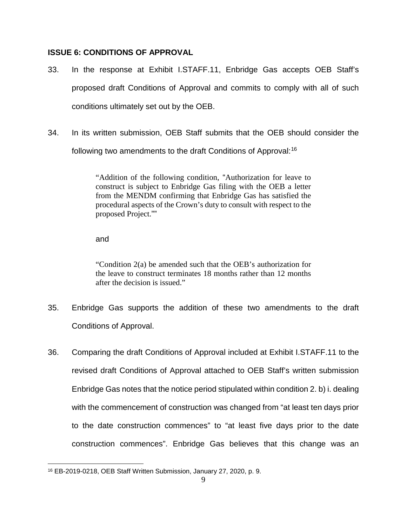### <span id="page-11-0"></span>**ISSUE 6: CONDITIONS OF APPROVAL**

- 33. In the response at Exhibit I.STAFF.11, Enbridge Gas accepts OEB Staff's proposed draft Conditions of Approval and commits to comply with all of such conditions ultimately set out by the OEB.
- 34. In its written submission, OEB Staff submits that the OEB should consider the following two amendments to the draft Conditions of Approval:[16](#page-11-1)

"Addition of the following condition, "Authorization for leave to construct is subject to Enbridge Gas filing with the OEB a letter from the MENDM confirming that Enbridge Gas has satisfied the procedural aspects of the Crown's duty to consult with respect to the proposed Project.""

and

"Condition 2(a) be amended such that the OEB's authorization for the leave to construct terminates 18 months rather than 12 months after the decision is issued."

- 35. Enbridge Gas supports the addition of these two amendments to the draft Conditions of Approval.
- 36. Comparing the draft Conditions of Approval included at Exhibit I.STAFF.11 to the revised draft Conditions of Approval attached to OEB Staff's written submission Enbridge Gas notes that the notice period stipulated within condition 2. b) i. dealing with the commencement of construction was changed from "at least ten days prior to the date construction commences" to "at least five days prior to the date construction commences". Enbridge Gas believes that this change was an

<span id="page-11-1"></span> $\overline{a}$ <sup>16</sup> EB-2019-0218, OEB Staff Written Submission, January 27, 2020, p. 9.